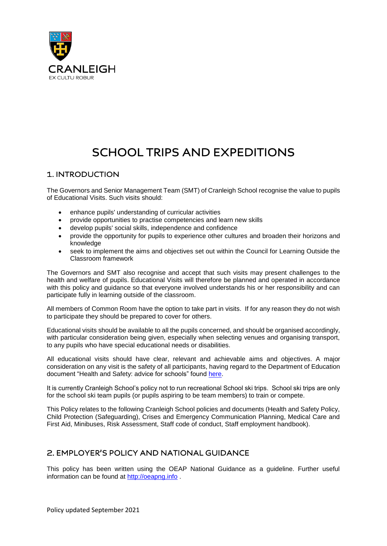

# **SCHOOL TRIPS AND EXPEDITIONS**

# 1. INTRODUCTION

The Governors and Senior Management Team (SMT) of Cranleigh School recognise the value to pupils of Educational Visits. Such visits should:

- enhance pupils' understanding of curricular activities
- provide opportunities to practise competencies and learn new skills
- develop pupils' social skills, independence and confidence
- provide the opportunity for pupils to experience other cultures and broaden their horizons and knowledge
- seek to implement the aims and objectives set out within the Council for Learning Outside the Classroom framework

The Governors and SMT also recognise and accept that such visits may present challenges to the health and welfare of pupils. Educational Visits will therefore be planned and operated in accordance with this policy and guidance so that everyone involved understands his or her responsibility and can participate fully in learning outside of the classroom.

All members of Common Room have the option to take part in visits. If for any reason they do not wish to participate they should be prepared to cover for others.

Educational visits should be available to all the pupils concerned, and should be organised accordingly, with particular consideration being given, especially when selecting venues and organising transport, to any pupils who have special educational needs or disabilities.

All educational visits should have clear, relevant and achievable aims and objectives. A major consideration on any visit is the safety of all participants, having regard to the Department of Education document "Health and Safety: advice for schools" found [here.](https://www.gov.uk/government/publications/health-and-safety-advice-for-schools)

It is currently Cranleigh School's policy not to run recreational School ski trips. School ski trips are only for the school ski team pupils (or pupils aspiring to be team members) to train or compete.

This Policy relates to the following Cranleigh School policies and documents (Health and Safety Policy, Child Protection (Safeguarding), Crises and Emergency Communication Planning, Medical Care and First Aid, Minibuses, Risk Assessment, Staff code of conduct, Staff employment handbook).

# 2. EMPLOYER'S POLICY AND NATIONAL GUIDANCE

This policy has been written using the OEAP National Guidance as a guideline. Further useful information can be found at [http://oeapng.info](http://oeapng.info/) .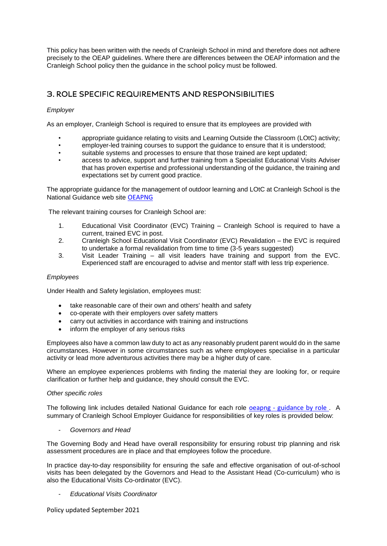This policy has been written with the needs of Cranleigh School in mind and therefore does not adhere precisely to the OEAP guidelines. Where there are differences between the OEAP information and the Cranleigh School policy then the guidance in the school policy must be followed.

# 3. ROLE SPECIFIC REQUIREMENTS AND RESPONSIBILITIES

### *Employer*

As an employer, Cranleigh School is required to ensure that its employees are provided with

- appropriate guidance relating to visits and Learning Outside the Classroom (LOtC) activity;
- employer-led training courses to support the guidance to ensure that it is understood;
- suitable systems and processes to ensure that those trained are kept updated;
- access to advice, support and further training from a Specialist Educational Visits Adviser that has proven expertise and professional understanding of the guidance, the training and expectations set by current good practice.

The appropriate guidance for the management of outdoor learning and LOtC at Cranleigh School is the National Guidance web site [OEAPNG](http://www.oeapng.info/)

The relevant training courses for Cranleigh School are:

- 1. Educational Visit Coordinator (EVC) Training Cranleigh School is required to have a current, trained EVC in post.
- 2. Cranleigh School Educational Visit Coordinator (EVC) Revalidation the EVC is required to undertake a formal revalidation from time to time (3-5 years suggested)
- 3. Visit Leader Training all visit leaders have training and support from the EVC. Experienced staff are encouraged to advise and mentor staff with less trip experience.

#### *Employees*

Under Health and Safety legislation, employees must:

- take reasonable care of their own and others' health and safety
- co-operate with their employers over safety matters
- carry out activities in accordance with training and instructions
- inform the employer of any serious risks

Employees also have a common law duty to act as any reasonably prudent parent would do in the same circumstances. However in some circumstances such as where employees specialise in a particular activity or lead more adventurous activities there may be a higher duty of care.

Where an employee experiences problems with finding the material they are looking for, or require clarification or further help and guidance, they should consult the EVC.

#### *Other specific roles*

The following link includes detailed National Guidance for each role oeapng - [guidance by role](http://oeapng.info/guidance-by-role/) . A summary of Cranleigh School Employer Guidance for responsibilities of key roles is provided below:

- *Governors and Head*

The Governing Body and Head have overall responsibility for ensuring robust trip planning and risk assessment procedures are in place and that employees follow the procedure.

In practice day-to-day responsibility for ensuring the safe and effective organisation of out-of-school visits has been delegated by the Governors and Head to the Assistant Head (Co-curriculum) who is also the Educational Visits Co-ordinator (EVC).

- *Educational Visits Coordinator*

Policy updated September 2021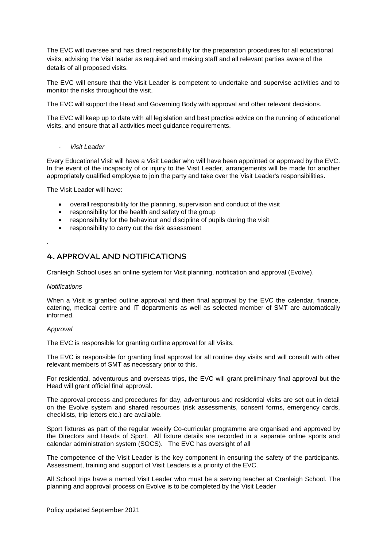The EVC will oversee and has direct responsibility for the preparation procedures for all educational visits, advising the Visit leader as required and making staff and all relevant parties aware of the details of all proposed visits.

The EVC will ensure that the Visit Leader is competent to undertake and supervise activities and to monitor the risks throughout the visit.

The EVC will support the Head and Governing Body with approval and other relevant decisions.

The EVC will keep up to date with all legislation and best practice advice on the running of educational visits, and ensure that all activities meet guidance requirements.

#### - *Visit Leader*

Every Educational Visit will have a Visit Leader who will have been appointed or approved by the EVC. In the event of the incapacity of or injury to the Visit Leader, arrangements will be made for another appropriately qualified employee to join the party and take over the Visit Leader's responsibilities.

The Visit Leader will have:

- overall responsibility for the planning, supervision and conduct of the visit
- responsibility for the health and safety of the group
- responsibility for the behaviour and discipline of pupils during the visit
- responsibility to carry out the risk assessment

### 4. APPROVAL AND NOTIFICATIONS

Cranleigh School uses an online system for Visit planning, notification and approval (Evolve).

#### *Notifications*

.

When a Visit is granted outline approval and then final approval by the EVC the calendar, finance, catering, medical centre and IT departments as well as selected member of SMT are automatically informed.

#### *Approval*

The EVC is responsible for granting outline approval for all Visits.

The EVC is responsible for granting final approval for all routine day visits and will consult with other relevant members of SMT as necessary prior to this.

For residential, adventurous and overseas trips, the EVC will grant preliminary final approval but the Head will grant official final approval.

The approval process and procedures for day, adventurous and residential visits are set out in detail on the Evolve system and shared resources (risk assessments, consent forms, emergency cards, checklists, trip letters etc.) are available.

Sport fixtures as part of the regular weekly Co-curricular programme are organised and approved by the Directors and Heads of Sport. All fixture details are recorded in a separate online sports and calendar administration system (SOCS). The EVC has oversight of all

The competence of the Visit Leader is the key component in ensuring the safety of the participants. Assessment, training and support of Visit Leaders is a priority of the EVC.

All School trips have a named Visit Leader who must be a serving teacher at Cranleigh School. The planning and approval process on Evolve is to be completed by the Visit Leader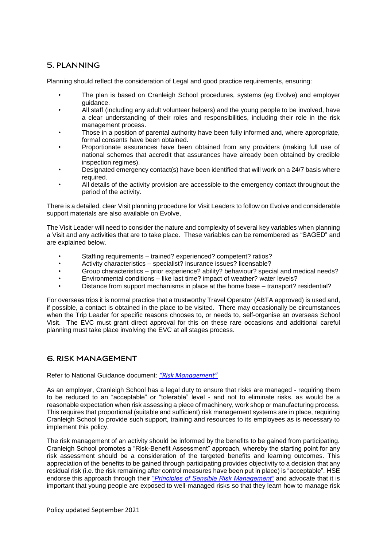# 5. PLANNING

Planning should reflect the consideration of Legal and good practice requirements, ensuring:

- The plan is based on Cranleigh School procedures, systems (eg Evolve) and employer guidance.
- All staff (including any adult volunteer helpers) and the young people to be involved, have a clear understanding of their roles and responsibilities, including their role in the risk management process.
- Those in a position of parental authority have been fully informed and, where appropriate, formal consents have been obtained.
- Proportionate assurances have been obtained from any providers (making full use of national schemes that accredit that assurances have already been obtained by credible inspection regimes).
- Designated emergency contact(s) have been identified that will work on a 24/7 basis where required.
- All details of the activity provision are accessible to the emergency contact throughout the period of the activity.

There is a detailed, clear Visit planning procedure for Visit Leaders to follow on Evolve and considerable support materials are also available on Evolve,

The Visit Leader will need to consider the nature and complexity of several key variables when planning a Visit and any activities that are to take place. These variables can be remembered as "SAGED" and are explained below.

- Staffing requirements trained? experienced? competent? ratios?
- Activity characteristics specialist? insurance issues? licensable?
- Group characteristics prior experience? ability? behaviour? special and medical needs?
- Environmental conditions like last time? impact of weather? water levels?
- Distance from support mechanisms in place at the home base transport? residential?

For overseas trips it is normal practice that a trustworthy Travel Operator (ABTA approved) is used and, if possible, a contact is obtained in the place to be visited. There may occasionally be circumstances when the Trip Leader for specific reasons chooses to, or needs to, self-organise an overseas School Visit. The EVC must grant direct approval for this on these rare occasions and additional careful planning must take place involving the EVC at all stages process.

### **6. RISK MANAGEMENT**

Refer to National Guidance document: *["Risk Management"](http://oeapng.info/downloads/download-info/4-3c-risk-management/)*

As an employer, Cranleigh School has a legal duty to ensure that risks are managed - requiring them to be reduced to an "acceptable" or "tolerable" level - and not to eliminate risks, as would be a reasonable expectation when risk assessing a piece of machinery, work shop or manufacturing process. This requires that proportional (suitable and sufficient) risk management systems are in place, requiring Cranleigh School to provide such support, training and resources to its employees as is necessary to implement this policy.

The risk management of an activity should be informed by the benefits to be gained from participating. Cranleigh School promotes a "Risk-Benefit Assessment" approach, whereby the starting point for any risk assessment should be a consideration of the targeted benefits and learning outcomes. This appreciation of the benefits to be gained through participating provides objectivity to a decision that any residual risk (i.e. the risk remaining after control measures have been put in place) is "acceptable". HSE endorse this approach through their "*[Principles of Sensible Risk Management"](http://www.hse.gov.uk/risk/principles.htm)* and advocate that it is important that young people are exposed to well-managed risks so that they learn how to manage risk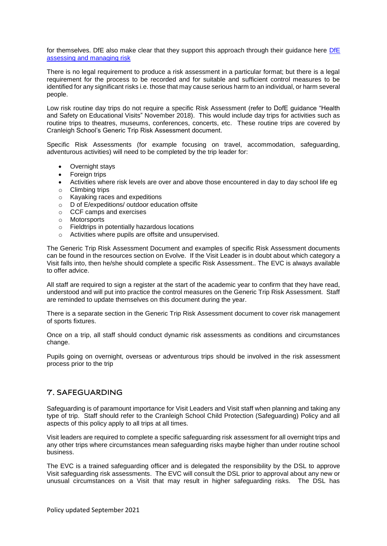for themselves. [DfE](http://www.education.gov.uk/aboutdfe/advice/f00191759/departmental-advice-on-health-and-safety-for-schools/assessing-and-managing-risk) also make clear that they support this approach through their guidance here DfE [assessing and managing risk](http://www.education.gov.uk/aboutdfe/advice/f00191759/departmental-advice-on-health-and-safety-for-schools/assessing-and-managing-risk)

There is no legal requirement to produce a risk assessment in a particular format; but there is a legal requirement for the process to be recorded and for suitable and sufficient control measures to be identified for any significant risks i.e. those that may cause serious harm to an individual, or harm several people.

Low risk routine day trips do not require a specific Risk Assessment (refer to DofE guidance "Health and Safety on Educational Visits" November 2018). This would include day trips for activities such as routine trips to theatres, museums, conferences, concerts, etc. These routine trips are covered by Cranleigh School's Generic Trip Risk Assessment document.

Specific Risk Assessments (for example focusing on travel, accommodation, safeguarding, adventurous activities) will need to be completed by the trip leader for:

- Overnight stays
- Foreign trips
- Activities where risk levels are over and above those encountered in day to day school life eg
- o Climbing trips
- o Kayaking races and expeditions
- o D of E/expeditions/ outdoor education offsite
- o CCF camps and exercises
- o Motorsports
- o Fieldtrips in potentially hazardous locations
- o Activities where pupils are offsite and unsupervised.

The Generic Trip Risk Assessment Document and examples of specific Risk Assessment documents can be found in the resources section on Evolve. If the Visit Leader is in doubt about which category a Visit falls into, then he/she should complete a specific Risk Assessment.. The EVC is always available to offer advice.

All staff are required to sign a register at the start of the academic year to confirm that they have read, understood and will put into practice the control measures on the Generic Trip Risk Assessment. Staff are reminded to update themselves on this document during the year.

There is a separate section in the Generic Trip Risk Assessment document to cover risk management of sports fixtures.

Once on a trip, all staff should conduct dynamic risk assessments as conditions and circumstances change.

Pupils going on overnight, overseas or adventurous trips should be involved in the risk assessment process prior to the trip

#### 7. SAFEGUARDING

Safeguarding is of paramount importance for Visit Leaders and Visit staff when planning and taking any type of trip. Staff should refer to the Cranleigh School Child Protection (Safeguarding) Policy and all aspects of this policy apply to all trips at all times.

Visit leaders are required to complete a specific safeguarding risk assessment for all overnight trips and any other trips where circumstances mean safeguarding risks maybe higher than under routine school business.

The EVC is a trained safeguarding officer and is delegated the responsibility by the DSL to approve Visit safeguarding risk assessments. The EVC will consult the DSL prior to approval about any new or unusual circumstances on a Visit that may result in higher safeguarding risks. The DSL has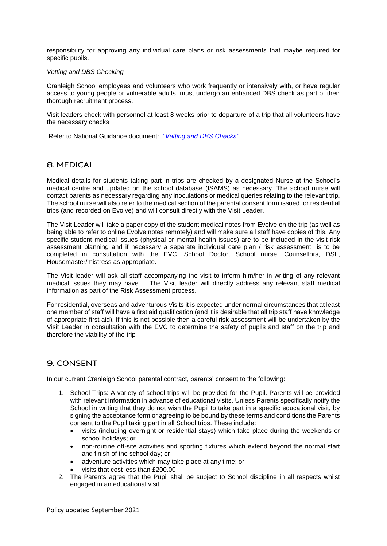responsibility for approving any individual care plans or risk assessments that maybe required for specific pupils.

#### *Vetting and DBS Checking*

Cranleigh School employees and volunteers who work frequently or intensively with, or have regular access to young people or vulnerable adults, must undergo an enhanced DBS check as part of their thorough recruitment process.

Visit leaders check with personnel at least 8 weeks prior to departure of a trip that all volunteers have the necessary checks

Refer to National Guidance document: *["Vetting and DBS Checks"](http://oeapng.info/downloads/download-info/3-2g-vetting-and-disclosure-and-barring-service-dbs-checks/)*

### 8. MEDICAL

Medical details for students taking part in trips are checked by a designated Nurse at the School's medical centre and updated on the school database (ISAMS) as necessary. The school nurse will contact parents as necessary regarding any inoculations or medical queries relating to the relevant trip. The school nurse will also refer to the medical section of the parental consent form issued for residential trips (and recorded on Evolve) and will consult directly with the Visit Leader.

The Visit Leader will take a paper copy of the student medical notes from Evolve on the trip (as well as being able to refer to online Evolve notes remotely) and will make sure all staff have copies of this. Any specific student medical issues (physical or mental health issues) are to be included in the visit risk assessment planning and if necessary a separate individual care plan / risk assessment is to be completed in consultation with the EVC, School Doctor, School nurse, Counsellors, DSL, Housemaster/mistress as appropriate.

The Visit leader will ask all staff accompanying the visit to inform him/her in writing of any relevant medical issues they may have. The Visit leader will directly address any relevant staff medical information as part of the Risk Assessment process.

For residential, overseas and adventurous Visits it is expected under normal circumstances that at least one member of staff will have a first aid qualification (and it is desirable that all trip staff have knowledge of appropriate first aid). If this is not possible then a careful risk assessment will be undertaken by the Visit Leader in consultation with the EVC to determine the safety of pupils and staff on the trip and therefore the viability of the trip

# **9. CONSENT**

In our current Cranleigh School parental contract, parents' consent to the following:

- 1. School Trips: A variety of school trips will be provided for the Pupil. Parents will be provided with relevant information in advance of educational visits. Unless Parents specifically notify the School in writing that they do not wish the Pupil to take part in a specific educational visit, by signing the acceptance form or agreeing to be bound by these terms and conditions the Parents consent to the Pupil taking part in all School trips. These include:
	- visits (including overnight or residential stays) which take place during the weekends or school holidays; or
	- non-routine off-site activities and sporting fixtures which extend beyond the normal start and finish of the school day; or
	- adventure activities which may take place at any time; or
	- visits that cost less than £200.00
- 2. The Parents agree that the Pupil shall be subject to School discipline in all respects whilst engaged in an educational visit.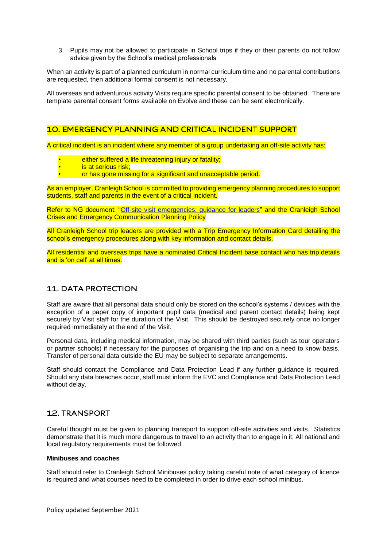3. Pupils may not be allowed to participate in School trips if they or their parents do not follow advice given by the School's medical professionals

When an activity is part of a planned curriculum in normal curriculum time and no parental contributions are requested, then additional formal consent is not necessary.

All overseas and adventurous activity Visits require specific parental consent to be obtained. There are template parental consent forms available on Evolve and these can be sent electronically.

### **10. EMERGENCY PLANNING AND CRITICAL INCIDENT SUPPORT**

A critical incident is an incident where any member of a group undertaking an off-site activity has:

- either suffered a life threatening injury or fatality;
- is at serious risk;
- or has gone missing for a significant and unacceptable period.

As an employer, Cranleigh School is committed to providing emergency planning procedures to support students, staff and parents in the event of a critical incident.

Refer to NG document: ["Off-site visit emergencies: guidance for leaders"](https://oeapng.info/downloads/download-info/4-1c-emergency-procedures-for-visit-leaders/) and the Cranleigh School Crises and Emergency Communication Planning Policy

All Cranleigh School trip leaders are provided with a Trip Emergency Information Card detailing the school's emergency procedures along with key information and contact details.

All residential and overseas trips have a nominated Critical Incident base contact who has trip details and is 'on call' at all times.

# **11. DATA PROTECTION**

Staff are aware that all personal data should only be stored on the school's systems / devices with the exception of a paper copy of important pupil data (medical and parent contact details) being kept securely by Visit staff for the duration of the Visit. This should be destroyed securely once no longer required immediately at the end of the Visit.

Personal data, including medical information, may be shared with third parties (such as tour operators or partner schools) if necessary for the purposes of organising the trip and on a need to know basis. Transfer of personal data outside the EU may be subject to separate arrangements.

Staff should contact the Compliance and Data Protection Lead if any further guidance is required. Should any data breaches occur, staff must inform the EVC and Compliance and Data Protection Lead without delay.

### **12. TRANSPORT**

Careful thought must be given to planning transport to support off-site activities and visits. Statistics demonstrate that it is much more dangerous to travel to an activity than to engage in it. All national and local regulatory requirements must be followed.

#### **Minibuses and coaches**

Staff should refer to Cranleigh School Minibuses policy taking careful note of what category of licence is required and what courses need to be completed in order to drive each school minibus.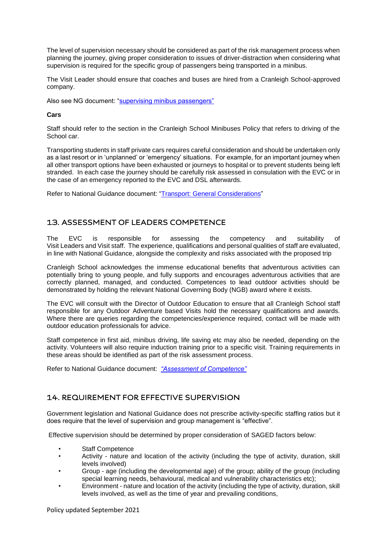The level of supervision necessary should be considered as part of the risk management process when planning the journey, giving proper consideration to issues of driver-distraction when considering what supervision is required for the specific group of passengers being transported in a minibus.

The Visit Leader should ensure that coaches and buses are hired from a Cranleigh School-approved company.

Also see NG document: ["supervising minibus passengers"](https://oeapng.info/downloads/download-info/6g-faqs-supervising-minibus-passengers/)

#### **Cars**

Staff should refer to the section in the Cranleigh School Minibuses Policy that refers to driving of the School car.

Transporting students in staff private cars requires careful consideration and should be undertaken only as a last resort or in 'unplanned' or 'emergency' situations. For example, for an important journey when all other transport options have been exhausted or journeys to hospital or to prevent students being left stranded. In each case the journey should be carefully risk assessed in consulation with the EVC or in the case of an emergency reported to the EVC and DSL afterwards.

Refer to National Guidance document: ["Transport: General Considerations"](https://oeapng.info/downloads/good-practice/)

# 13. ASSESSMENT OF LEADERS COMPETENCE

The EVC is responsible for assessing the competency and suitability of Visit Leaders and Visit staff. The experience, qualifications and personal qualities of staff are evaluated, in line with National Guidance, alongside the complexity and risks associated with the proposed trip

Cranleigh School acknowledges the immense educational benefits that adventurous activities can potentially bring to young people, and fully supports and encourages adventurous activities that are correctly planned, managed, and conducted. Competences to lead outdoor activities should be demonstrated by holding the relevant National Governing Body (NGB) award where it exists.

The EVC will consult with the Director of Outdoor Education to ensure that all Cranleigh School staff responsible for any Outdoor Adventure based Visits hold the necessary qualifications and awards. Where there are queries regarding the competencies/experience required, contact will be made with outdoor education professionals for advice.

Staff competence in first aid, minibus driving, life saving etc may also be needed, depending on the activity. Volunteers will also require induction training prior to a specific visit. Training requirements in these areas should be identified as part of the risk assessment process.

Refer to National Guidance document: *["Assessment of Competence"](http://oeapng.info/downloads/download-info/3-2d-4-4a-assessment-of-competence/)*

# 14. REQUIREMENT FOR EFFECTIVE SUPERVISION

Government legislation and National Guidance does not prescribe activity-specific staffing ratios but it does require that the level of supervision and group management is "effective".

Effective supervision should be determined by proper consideration of SAGED factors below:

- Staff Competence
- Activity nature and location of the activity (including the type of activity, duration, skill levels involved)
- Group age (including the developmental age) of the group; ability of the group (including special learning needs, behavioural, medical and vulnerability characteristics etc);
- Environment nature and location of the activity (including the type of activity, duration, skill levels involved, as well as the time of year and prevailing conditions,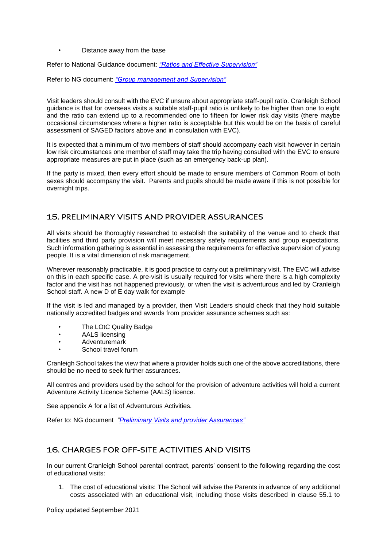• Distance away from the base

Refer to National Guidance document: *["Ratios and Effective Supervision"](http://oeapng.info/downloads/download-info/4-3b-ratios-and-effective-supervision/)*

Refer to NG document: *["Group management and Supervision"](http://oeapng.info/downloads/download-info/4-2a-group-management-and-supervision/)*

Visit leaders should consult with the EVC if unsure about appropriate staff-pupil ratio. Cranleigh School guidance is that for overseas visits a suitable staff-pupil ratio is unlikely to be higher than one to eight and the ratio can extend up to a recommended one to fifteen for lower risk day visits (there maybe occasional circumstances where a higher ratio is acceptable but this would be on the basis of careful assessment of SAGED factors above and in consulation with EVC).

It is expected that a minimum of two members of staff should accompany each visit however in certain low risk circumstances one member of staff may take the trip having consulted with the EVC to ensure appropriate measures are put in place (such as an emergency back-up plan).

If the party is mixed, then every effort should be made to ensure members of Common Room of both sexes should accompany the visit. Parents and pupils should be made aware if this is not possible for overnight trips.

# **15. PRELIMINARY VISITS AND PROVIDER ASSURANCES**

All visits should be thoroughly researched to establish the suitability of the venue and to check that facilities and third party provision will meet necessary safety requirements and group expectations. Such information gathering is essential in assessing the requirements for effective supervision of young people. It is a vital dimension of risk management.

Wherever reasonably practicable, it is good practice to carry out a preliminary visit. The EVC will advise on this in each specific case. A pre-visit is usually required for visits where there is a high complexity factor and the visit has not happened previously, or when the visit is adventurous and led by Cranleigh School staff. A new D of E day walk for example

If the visit is led and managed by a provider, then Visit Leaders should check that they hold suitable nationally accredited badges and awards from provider assurance schemes such as:

- The LOtC Quality Badge
- AALS licensing
- Adventuremark
- School travel forum

Cranleigh School takes the view that where a provider holds such one of the above accreditations, there should be no need to seek further assurances.

All centres and providers used by the school for the provision of adventure activities will hold a current Adventure Activity Licence Scheme (AALS) licence.

See appendix A for a list of Adventurous Activities.

Refer to: NG document *["Preliminary Visits and provider Assurances"](http://oeapng.info/downloads/download-info/4-4h-preliminary-visits-and-provider-assurances/)* 

# **16. CHARGES FOR OFF-SITE ACTIVITIES AND VISITS**

In our current Cranleigh School parental contract, parents' consent to the following regarding the cost of educational visits:

1. The cost of educational visits: The School will advise the Parents in advance of any additional costs associated with an educational visit, including those visits described in clause 55.1 to

Policy updated September 2021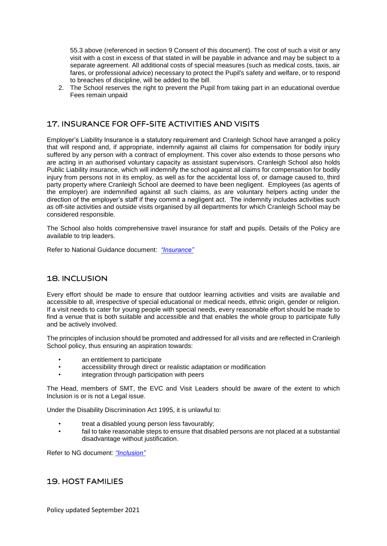55.3 above (referenced in section 9 Consent of this document). The cost of such a visit or any visit with a cost in excess of that stated in will be payable in advance and may be subject to a separate agreement. All additional costs of special measures (such as medical costs, taxis, air fares, or professional advice) necessary to protect the Pupil's safety and welfare, or to respond to breaches of discipline, will be added to the bill.

2. The School reserves the right to prevent the Pupil from taking part in an educational overdue Fees remain unpaid

# 17. INSURANCE FOR OFF-SITE ACTIVITIES AND VISITS

Employer's Liability Insurance is a statutory requirement and Cranleigh School have arranged a policy that will respond and, if appropriate, indemnify against all claims for compensation for bodily injury suffered by any person with a contract of employment. This cover also extends to those persons who are acting in an authorised voluntary capacity as assistant supervisors. Cranleigh School also holds Public Liability insurance, which will indemnify the school against all claims for compensation for bodily injury from persons not in its employ, as well as for the accidental loss of, or damage caused to, third party property where Cranleigh School are deemed to have been negligent. Employees (as agents of the employer) are indemnified against all such claims, as are voluntary helpers acting under the direction of the employer's staff if they commit a negligent act. The indemnity includes activities such as off-site activities and outside visits organised by all departments for which Cranleigh School may be considered responsible.

The School also holds comprehensive travel insurance for staff and pupils. Details of the Policy are available to trip leaders.

Refer to National Guidance document: *["Insurance"](http://oeapng.info/downloads/download-info/4-4c-insurance/)*

#### **18. INCLUSION**

Every effort should be made to ensure that outdoor learning activities and visits are available and accessible to all, irrespective of special educational or medical needs, ethnic origin, gender or religion. If a visit needs to cater for young people with special needs, every reasonable effort should be made to find a venue that is both suitable and accessible and that enables the whole group to participate fully and be actively involved.

The principles of inclusion should be promoted and addressed for all visits and are reflected in Cranleigh School policy, thus ensuring an aspiration towards:

- an entitlement to participate
- accessibility through direct or realistic adaptation or modification
- integration through participation with peers

The Head, members of SMT, the EVC and Visit Leaders should be aware of the extent to which Inclusion is or is not a Legal issue.

Under the Disability Discrimination Act 1995, it is unlawful to:

- treat a disabled young person less favourably;
- fail to take reasonable steps to ensure that disabled persons are not placed at a substantial disadvantage without justification.

Refer to NG document: *["Inclusion"](http://oeapng.info/downloads/download-info/3-2e-inclusion/)*

### **19. HOST FAMILIES**

Policy updated September 2021